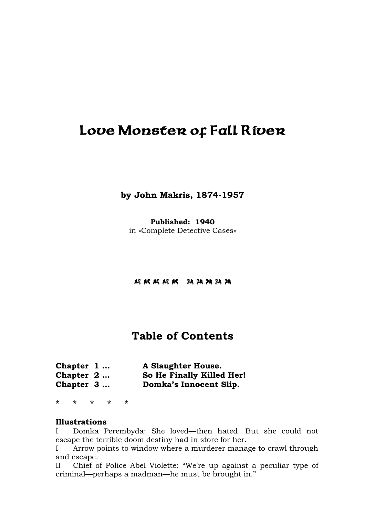# Love Monster of Fall River

**by John Makris, 1874-1957** 

**Published: 1940**  in »Complete Detective Cases«

J J J J JI I I I I

# **Table of Contents**

| Chapter 1   | <b>A Slaughter House.</b> |
|-------------|---------------------------|
| Chapter $2$ | So He Finally Killed Her! |
| Chapter $3$ | Domka's Innocent Slip.    |

**\* \* \* \* \*** 

#### **Illustrations**

I Domka Perembyda: She loved—then hated. But she could not escape the terrible doom destiny had in store for her.

I Arrow points to window where a murderer manage to crawl through and escape.

II Chief of Police Abel Violette: "We're up against a peculiar type of criminal—perhaps a madman—he must be brought in."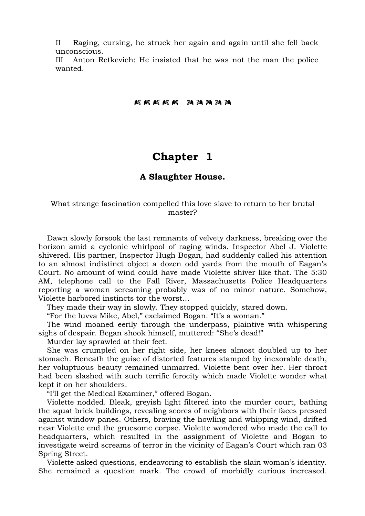II Raging, cursing, he struck her again and again until she fell back unconscious.

III Anton Retkevich: He insisted that he was not the man the police wanted.

#### **KKKKK AAAAA**

### **Chapter 1**

#### **A Slaughter House.**

#### What strange fascination compelled this love slave to return to her brutal master?

 Dawn slowly forsook the last remnants of velvety darkness, breaking over the horizon amid a cyclonic whirlpool of raging winds. Inspector Abel J. Violette shivered. His partner, Inspector Hugh Bogan, had suddenly called his attention to an almost indistinct object a dozen odd yards from the mouth of Eagan's Court. No amount of wind could have made Violette shiver like that. The 5:30 AM, telephone call to the Fall River, Massachusetts Police Headquarters reporting a woman screaming probably was of no minor nature. Somehow, Violette harbored instincts tor the worst…

They made their way in slowly. They stopped quickly, stared down.

"For the luvva Mike, Abel," exclaimed Bogan. "It's a woman."

 The wind moaned eerily through the underpass, plaintive with whispering sighs of despair. Began shook himself, muttered: "She's dead!"

Murder lay sprawled at their feet.

 She was crumpled on her right side, her knees almost doubled up to her stomach. Beneath the guise of distorted features stamped by inexorable death, her voluptuous beauty remained unmarred. Violette bent over her. Her throat had been slashed with such terrific ferocity which made Violette wonder what kept it on her shoulders.

"I'll get the Medical Examiner," offered Bogan.

 Violette nodded. Bleak, greyish light filtered into the murder court, bathing the squat brick buildings, revealing scores of neighbors with their faces pressed against window-panes. Others, braving the howling and whipping wind, drifted near Violette end the gruesome corpse. Violette wondered who made the call to headquarters, which resulted in the assignment of Violette and Bogan to investigate weird screams of terror in the vicinity of Eagan's Court which ran 03 Spring Street.

 Violette asked questions, endeavoring to establish the slain woman's identity. She remained a question mark. The crowd of morbidly curious increased.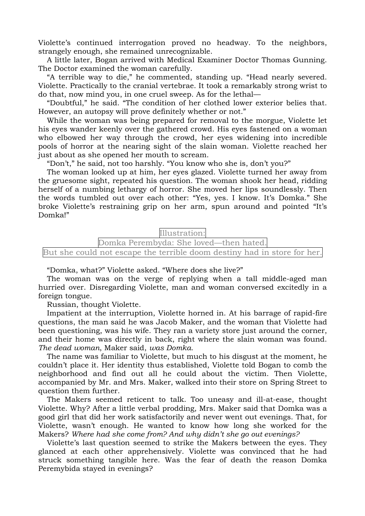Violette's continued interrogation proved no headway. To the neighbors, strangely enough, she remained unrecognizable.

 A little later, Bogan arrived with Medical Examiner Doctor Thomas Gunning. The Doctor examined the woman carefully.

 "A terrible way to die," he commented, standing up. "Head nearly severed. Violette. Practically to the cranial vertebrae. It took a remarkably strong wrist to do that, now mind you, in one cruel sweep. As for the lethal—

 "Doubtful," he said. "The condition of her clothed lower exterior belies that. However, an autopsy will prove definitely whether or not."

 While the woman was being prepared for removal to the morgue, Violette let his eyes wander keenly over the gathered crowd. His eyes fastened on a woman who elbowed her way through the crowd, her eyes widening into incredible pools of horror at the nearing sight of the slain woman. Violette reached her just about as she opened her mouth to scream.

"Don't," he said, not too harshly. "You know who she is, don't you?"

 The woman looked up at him, her eyes glazed. Violette turned her away from the gruesome sight, repeated his question. The woman shook her head, ridding herself of a numbing lethargy of horror. She moved her lips soundlessly. Then the words tumbled out over each other: "Yes, yes. I know. It's Domka." She broke Violette's restraining grip on her arm, spun around and pointed "It's Domka!"

Illustration:

Domka Perembyda: She loved—then hated.

But she could not escape the terrible doom destiny had in store for her.

"Domka, what?" Violette asked. "Where does she live?"

 The woman was on the verge of replying when a tall middle-aged man hurried over. Disregarding Violette, man and woman conversed excitedly in a foreign tongue.

Russian, thought Violette.

 Impatient at the interruption, Violette horned in. At his barrage of rapid-fire questions, the man said he was Jacob Maker, and the woman that Violette had been questioning, was his wife. They ran a variety store just around the corner, and their home was directly in back, right where the slain woman was found. *The dead woman*, Maker said, *was Domka*.

 The name was familiar to Violette, but much to his disgust at the moment, he couldn't place it. Her identity thus established, Violette told Bogan to comb the neighborhood and find out all he could about the victim. Then Violette, accompanied by Mr. and Mrs. Maker, walked into their store on Spring Street to question them further.

 The Makers seemed reticent to talk. Too uneasy and ill-at-ease, thought Violette. Why? After a little verbal prodding, Mrs. Maker said that Domka was a good girl that did her work satisfactorily and never went out evenings. That, for Violette, wasn't enough. He wanted to know how long she worked for the Makers? *Where had she come from? And why didn't she go out evenings?*

 Violette's last question seemed to strike the Makers between the eyes. They glanced at each other apprehensively. Violette was convinced that he had struck something tangible here. Was the fear of death the reason Domka Peremybida stayed in evenings?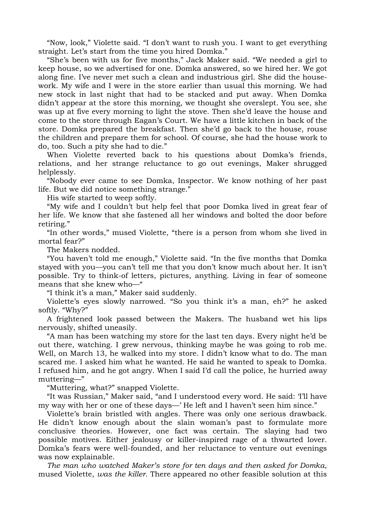"Now, look," Violette said. "I don't want to rush you. I want to get everything straight. Let's start from the time you hired Domka."

 "She's been with us for five months," Jack Maker said. "We needed a girl to keep house, so we advertised for one. Domka answered, so we hired her. We got along fine. I've never met such a clean and industrious girl. She did the housework. My wife and I were in the store earlier than usual this morning. We had new stock in last night that had to be stacked and put away. When Domka didn't appear at the store this morning, we thought she overslept. You see, she was up at five every morning to light the stove. Then she'd leave the house and come to the store through Eagan's Court. We have a little kitchen in back of the store. Domka prepared the breakfast. Then she'd go back to the house, rouse the children and prepare them for school. Of course, she had the house work to do, too. Such a pity she had to die."

 When Violette reverted back to his questions about Domka's friends, relations, and her strange reluctance to go out evenings, Maker shrugged helplessly.

 "Nobody ever came to see Domka, Inspector. We know nothing of her past life. But we did notice something strange."

His wife started to weep softly.

 "My wife and I couldn't but help feel that poor Domka lived in great fear of her life. We know that she fastened all her windows and bolted the door before retiring."

 "In other words," mused Violette, "there is a person from whom she lived in mortal fear?"

The Makers nodded.

 "You haven't told me enough," Violette said. "In the five months that Domka stayed with you—you can't tell me that you don't know much about her. It isn't possible. Try to think-of letters, pictures, anything. Living in fear of someone means that she knew who—"

"I think it's a man," Maker said suddenly.

 Violette's eyes slowly narrowed. "So you think it's a man, eh?" he asked softly. "Why?"

 A frightened look passed between the Makers. The husband wet his lips nervously, shifted uneasily.

 "A man has been watching my store for the last ten days. Every night he'd be out there, watching. I grew nervous, thinking maybe he was going to rob me. Well, on March 13, he walked into my store. I didn't know what to do. The man scared me. I asked him what he wanted. He said he wanted to speak to Domka. I refused him, and he got angry. When I said I'd call the police, he hurried away muttering—"

"Muttering, what?" snapped Violette.

 "It was Russian," Maker said, "and I understood every word. He said: 'I'll have my way with her or one of these days—' He left and I haven't seen him since."

 Violette's brain bristled with angles. There was only one serious drawback. He didn't know enough about the slain woman's past to formulate more conclusive theories. However, one fact was certain. The slaying had two possible motives. Either jealousy or killer-inspired rage of a thwarted lover. Domka's fears were well-founded, and her reluctance to venture out evenings was now explainable.

*The man who watched Maker's store for ten days and then asked for Domka*, mused Violette, *was the killer*. There appeared no other feasible solution at this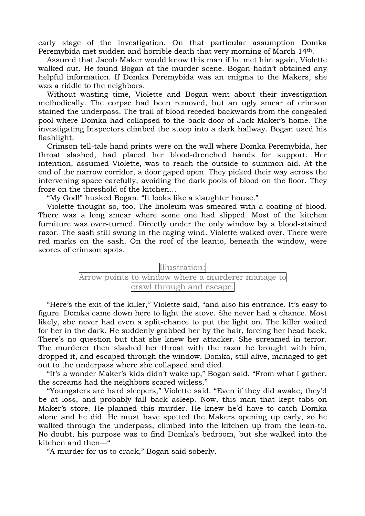early stage of the investigation. On that particular assumption Domka Peremybida met sudden and horrible death that very morning of March 14th.

 Assured that Jacob Maker would know this man if he met him again, Violette walked out. He found Bogan at the murder scene. Bogan hadn't obtained any helpful information. If Domka Peremybida was an enigma to the Makers, she was a riddle to the neighbors.

 Without wasting time, Violette and Bogan went about their investigation methodically. The corpse had been removed, but an ugly smear of crimson stained the underpass. The trail of blood receded backwards from the congealed pool where Domka had collapsed to the back door of Jack Maker's home. The investigating Inspectors climbed the stoop into a dark hallway. Bogan used his flashlight.

 Crimson tell-tale hand prints were on the wall where Domka Peremybida, her throat slashed, had placed her blood-drenched hands for support. Her intention, assumed Violette, was to reach the outside to summon aid. At the end of the narrow corridor, a door gaped open. They picked their way across the intervening space carefully, avoiding the dark pools of blood on the floor. They froze on the threshold of the kitchen…

"My God!" husked Bogan. "It looks like a slaughter house."

 Violette thought so, too. The linoleum was smeared with a coating of blood. There was a long smear where some one had slipped. Most of the kitchen furniture was over-turned. Directly under the only window lay a blood-stained razor. The sash still swung in the raging wind. Violette walked over. There were red marks on the sash. On the roof of the leanto, beneath the window, were scores of crimson spots.



 "Here's the exit of the killer," Violette said, "and also his entrance. It's easy to figure. Domka came down here to light the stove. She never had a chance. Most likely, she never had even a split-chance to put the light on. The killer waited for her in the dark. He suddenly grabbed her by the hair, forcing her head back. There's no question but that she knew her attacker. She screamed in terror. The murderer then slashed her throat with the razor he brought with him, dropped it, and escaped through the window. Domka, still alive, managed to get out to the underpass where she collapsed and died.

 "It's a wonder Maker's kids didn't wake up," Bogan said. "From what I gather, the screams had the neighbors scared witless."

 "Youngsters are hard sleepers," Violette said. "Even if they did awake, they'd be at loss, and probably fall back asleep. Now, this man that kept tabs on Maker's store. He planned this murder. He knew he'd have to catch Domka alone and he did. He must have spotted the Makers opening up early, so he walked through the underpass, climbed into the kitchen up from the lean-to. No doubt, his purpose was to find Domka's bedroom, but she walked into the kitchen and then—"

"A murder for us to crack," Bogan said soberly.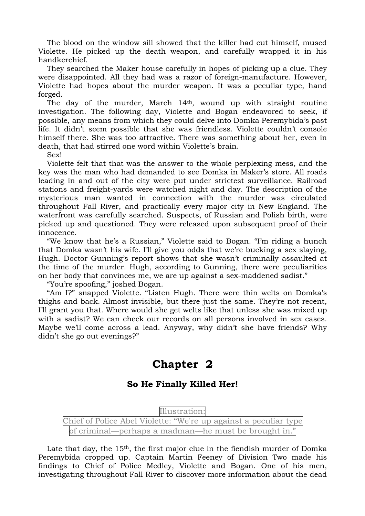The blood on the window sill showed that the killer had cut himself, mused Violette. He picked up the death weapon, and carefully wrapped it in his handkerchief.

 They searched the Maker house carefully in hopes of picking up a clue. They were disappointed. All they had was a razor of foreign-manufacture. However, Violette had hopes about the murder weapon. It was a peculiar type, hand forged.

The day of the murder, March 14<sup>th</sup>, wound up with straight routine investigation. The following day, Violette and Bogan endeavored to seek, if possible, any means from which they could delve into Domka Peremybida's past life. It didn't seem possible that she was friendless. Violette couldn't console himself there. She was too attractive. There was something about her, even in death, that had stirred one word within Violette's brain.

Sex!

 Violette felt that that was the answer to the whole perplexing mess, and the key was the man who had demanded to see Domka in Maker's store. All roads leading in and out of the city were put under strictest surveillance. Railroad stations and freight-yards were watched night and day. The description of the mysterious man wanted in connection with the murder was circulated throughout Fall River, and practically every major city in New England. The waterfront was carefully searched. Suspects, of Russian and Polish birth, were picked up and questioned. They were released upon subsequent proof of their innocence.

 "We know that he's a Russian," Violette said to Bogan. "I'm riding a hunch that Domka wasn't his wife. I'll give you odds that we're bucking a sex slaying, Hugh. Doctor Gunning's report shows that she wasn't criminally assaulted at the time of the murder. Hugh, according to Gunning, there were peculiarities on her body that convinces me, we are up against a sex-maddened sadist."

"You're spoofing," joshed Bogan.

 "Am I?" snapped Violette. "Listen Hugh. There were thin welts on Domka's thighs and back. Almost invisible, but there just the same. They're not recent, I'll grant you that. Where would she get welts like that unless she was mixed up with a sadist? We can check our records on all persons involved in sex cases. Maybe we'll come across a lead. Anyway, why didn't she have friends? Why didn't she go out evenings?"

## **Chapter 2**

### **So He Finally Killed Her!**

Illustration: Chief of Police Abel Violette: "We're up against a peculiar type of criminal—perhaps a madman—he must be brought in."

Late that day, the  $15<sup>th</sup>$ , the first major clue in the fiendish murder of Domka Peremybida cropped up. Captain Martin Feeney of Division Two made his findings to Chief of Police Medley, Violette and Bogan. One of his men, investigating throughout Fall River to discover more information about the dead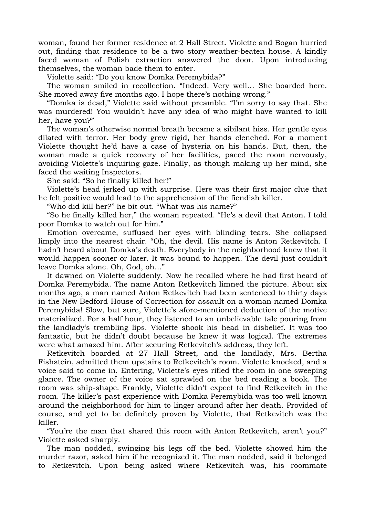woman, found her former residence at 2 Hall Street. Violette and Bogan hurried out, finding that residence to be a two story weather-beaten house. A kindly faced woman of Polish extraction answered the door. Upon introducing themselves, the woman bade them to enter.

Violette said: "Do you know Domka Peremybida?"

 The woman smiled in recollection. "Indeed. Very well… She boarded here. She moved away five months ago. I hope there's nothing wrong."

 "Domka is dead," Violette said without preamble. "I'm sorry to say that. She was murdered! You wouldn't have any idea of who might have wanted to kill her, have you?"

 The woman's otherwise normal breath became a sibilant hiss. Her gentle eyes dilated with terror. Her body grew rigid, her hands clenched. For a moment Violette thought he'd have a case of hysteria on his hands. But, then, the woman made a quick recovery of her facilities, paced the room nervously, avoiding Violette's inquiring gaze. Finally, as though making up her mind, she faced the waiting Inspectors.

She said: "So he finally killed her!"

 Violette's head jerked up with surprise. Here was their first major clue that he felt positive would lead to the apprehension of the fiendish killer.

"Who did kill her?" he bit out. "What was his name?"

 "So he finally killed her," the woman repeated. "He's a devil that Anton. I told poor Domka to watch out for him."

 Emotion overcame, suffused her eyes with blinding tears. She collapsed limply into the nearest chair. "Oh, the devil. His name is Anton Retkevitch. I hadn't heard about Domka's death. Everybody in the neighborhood knew that it would happen sooner or later. It was bound to happen. The devil just couldn't leave Domka alone. Oh, God, oh…"

 It dawned on Violette suddenly. Now he recalled where he had first heard of Domka Peremybida. The name Anton Retkevitch limned the picture. About six months ago, a man named Anton Retkevitch had been sentenced to thirty days in the New Bedford House of Correction for assault on a woman named Domka Peremybida! Slow, but sure, Violette's afore-mentioned deduction of the motive materialized. For a half hour, they listened to an unbelievable tale pouring from the landlady's trembling lips. Violette shook his head in disbelief. It was too fantastic, but he didn't doubt because he knew it was logical. The extremes were what amazed him. After securing Retkevitch's address, they left.

 Retkevitch boarded at 27 Hall Street, and the landlady, Mrs. Bertha Fishstein, admitted them upstairs to Retkevitch's room. Violette knocked, and a voice said to come in. Entering, Violette's eyes rifled the room in one sweeping glance. The owner of the voice sat sprawled on the bed reading a book. The room was ship-shape. Frankly, Violette didn't expect to find Retkevitch in the room. The killer's past experience with Domka Peremybida was too well known around the neighborhood for him to linger around after her death. Provided of course, and yet to be definitely proven by Violette, that Retkevitch was the killer.

 "You're the man that shared this room with Anton Retkevitch, aren't you?" Violette asked sharply.

 The man nodded, swinging his legs off the bed. Violette showed him the murder razor, asked him if he recognized it. The man nodded, said it belonged to Retkevitch. Upon being asked where Retkevitch was, his roommate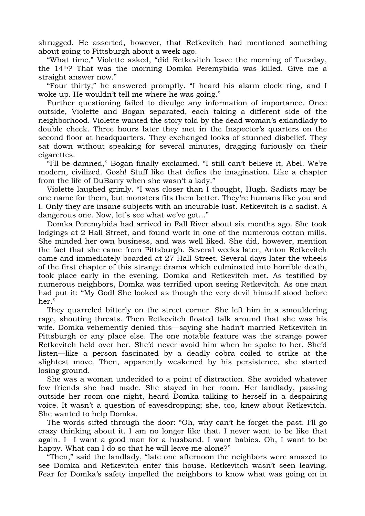shrugged. He asserted, however, that Retkevitch had mentioned something about going to Pittsburgh about a week ago.

 "What time," Violette asked, "did Retkevitch leave the morning of Tuesday, the 14th? That was the morning Domka Peremybida was killed. Give me a straight answer now."

 "Four thirty," he answered promptly. "I heard his alarm clock ring, and I woke up. He wouldn't tell me where he was going."

 Further questioning failed to divulge any information of importance. Once outside, Violette and Bogan separated, each taking a different side of the neighborhood. Violette wanted the story told by the dead woman's exlandlady to double check. Three hours later they met in the Inspector's quarters on the second floor at headquarters. They exchanged looks of stunned disbelief. They sat down without speaking for several minutes, dragging furiously on their cigarettes.

 "I'll be damned," Bogan finally exclaimed. "I still can't believe it, Abel. We're modern, civilized. Gosh! Stuff like that defies the imagination. Like a chapter from the life of DuBarry when she wasn't a lady."

 Violette laughed grimly. "I was closer than I thought, Hugh. Sadists may be one name for them, but monsters fits them better. They're humans like you and I. Only they are insane subjects with an incurable lust. Retkevitch is a sadist. A dangerous one. Now, let's see what we've got…"

 Domka Peremybida had arrived in Fall River about six months ago. She took lodgings at 2 Hall Street, and found work in one of the numerous cotton mills. She minded her own business, and was well liked. She did, however, mention the fact that she came from Pittsburgh. Several weeks later, Anton Retkevitch came and immediately boarded at 27 Hall Street. Several days later the wheels of the first chapter of this strange drama which culminated into horrible death, took place early in the evening. Domka and Retkevitch met. As testified by numerous neighbors, Domka was terrified upon seeing Retkevitch. As one man had put it: "My God! She looked as though the very devil himself stood before her."

 They quarreled bitterly on the street corner. She left him in a smouldering rage, shouting threats. Then Retkevitch floated talk around that she was his wife. Domka vehemently denied this—saying she hadn't married Retkevitch in Pittsburgh or any place else. The one notable feature was the strange power Retkevitch held over her. She'd never avoid him when he spoke to her. She'd listen—like a person fascinated by a deadly cobra coiled to strike at the slightest move. Then, apparently weakened by his persistence, she started losing ground.

 She was a woman undecided to a point of distraction. She avoided whatever few friends she had made. She stayed in her room. Her landlady, passing outside her room one night, heard Domka talking to herself in a despairing voice. It wasn't a question of eavesdropping; she, too, knew about Retkevitch. She wanted to help Domka.

 The words sifted through the door: "Oh, why can't he forget the past. I'll go crazy thinking about it. I am no longer like that. I never want to be like that again. I—I want a good man for a husband. I want babies. Oh, I want to be happy. What can I do so that he will leave me alone?"

 "Then," said the landlady, "late one afternoon the neighbors were amazed to see Domka and Retkevitch enter this house. Retkevitch wasn't seen leaving. Fear for Domka's safety impelled the neighbors to know what was going on in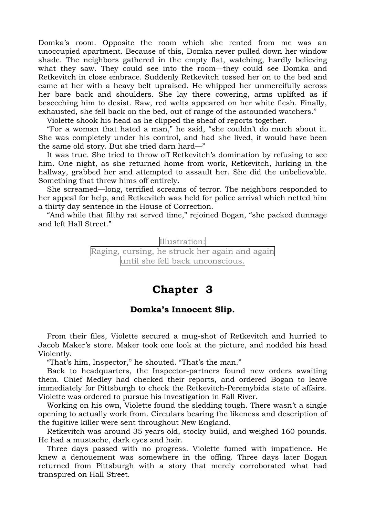Domka's room. Opposite the room which she rented from me was an unoccupied apartment. Because of this, Domka never pulled down her window shade. The neighbors gathered in the empty flat, watching, hardly believing what they saw. They could see into the room—they could see Domka and Retkevitch in close embrace. Suddenly Retkevitch tossed her on to the bed and came at her with a heavy belt upraised. He whipped her unmercifully across her bare back and shoulders. She lay there cowering, arms uplifted as if beseeching him to desist. Raw, red welts appeared on her white flesh. Finally, exhausted, she fell back on the bed, out of range of the astounded watchers."

Violette shook his head as he clipped the sheaf of reports together.

 "For a woman that hated a man," he said, "she couldn't do much about it. She was completely under his control, and had she lived, it would have been the same old story. But she tried darn hard—"

 It was true. She tried to throw off Retkevitch's domination by refusing to see him. One night, as she returned home from work, Retkevitch, lurking in the hallway, grabbed her and attempted to assault her. She did the unbelievable. Something that threw hims off entirely.

 She screamed—long, terrified screams of terror. The neighbors responded to her appeal for help, and Retkevitch was held for police arrival which netted him a thirty day sentence in the House of Correction.

 "And while that filthy rat served time," rejoined Bogan, "she packed dunnage and left Hall Street."

> Illustration: Raging, cursing, he struck her again and again until she fell back unconscious.

## **Chapter 3**

### **Domka's Innocent Slip.**

 From their files, Violette secured a mug-shot of Retkevitch and hurried to Jacob Maker's store. Maker took one look at the picture, and nodded his head Violently.

"That's him, Inspector," he shouted. "That's the man."

 Back to headquarters, the Inspector-partners found new orders awaiting them. Chief Medley had checked their reports, and ordered Bogan to leave immediately for Pittsburgh to check the Retkevitch-Peremybida state of affairs. Violette was ordered to pursue his investigation in Fall River.

 Working on his own, Violette found the sledding tough. There wasn't a single opening to actually work from. Circulars bearing the likeness and description of the fugitive killer were sent throughout New England.

 Retkevitch was around 35 years old, stocky build, and weighed 160 pounds. He had a mustache, dark eyes and hair.

 Three days passed with no progress. Violette fumed with impatience. He knew a denouement was somewhere in the offing. Three days later Bogan returned from Pittsburgh with a story that merely corroborated what had transpired on Hall Street.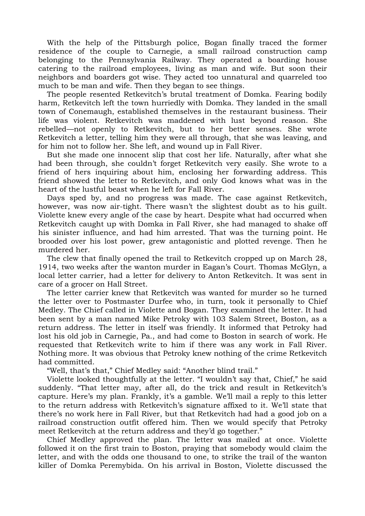With the help of the Pittsburgh police, Bogan finally traced the former residence of the couple to Carnegie, a small railroad construction camp belonging to the Pennsylvania Railway. They operated a boarding house catering to the railroad employees, living as man and wife. But soon their neighbors and boarders got wise. They acted too unnatural and quarreled too much to be man and wife. Then they began to see things.

 The people resented Retkevitch's brutal treatment of Domka. Fearing bodily harm, Retkevitch left the town hurriedly with Domka. They landed in the small town of Conemaugh, established themselves in the restaurant business. Their life was violent. Retkevitch was maddened with lust beyond reason. She rebelled—not openly to Retkevitch, but to her better senses. She wrote Retkevitch a letter, telling him they were all through, that she was leaving, and for him not to follow her. She left, and wound up in Fall River.

 But she made one innocent slip that cost her life. Naturally, after what she had been through, she couldn't forget Retkevitch very easily. She wrote to a friend of hers inquiring about him, enclosing her forwarding address. This friend showed the letter to Retkevitch, and only God knows what was in the heart of the lustful beast when he left for Fall River.

 Days sped by, and no progress was made. The case against Retkevitch, however, was now air-tight. There wasn't the slightest doubt as to his guilt. Violette knew every angle of the case by heart. Despite what had occurred when Retkevitch caught up with Domka in Fall River, she had managed to shake off his sinister influence, and had him arrested. That was the turning point. He brooded over his lost power, grew antagonistic and plotted revenge. Then he murdered her.

 The clew that finally opened the trail to Retkevitch cropped up on March 28, 1914, two weeks after the wanton murder in Eagan's Court. Thomas McGlyn, a local letter carrier, had a letter for delivery to Anton Retkevitch. It was sent in care of a grocer on Hall Street.

 The letter carrier knew that Retkevitch was wanted for murder so he turned the letter over to Postmaster Durfee who, in turn, took it personally to Chief Medley. The Chief called in Violette and Bogan. They examined the letter. It had been sent by a man named Mike Petroky with 103 Salem Street, Boston, as a return address. The letter in itself was friendly. It informed that Petroky had lost his old job in Carnegie, Pa., and had come to Boston in search of work. He requested that Retkevitch write to him if there was any work in Fall River. Nothing more. It was obvious that Petroky knew nothing of the crime Retkevitch had committed.

"Well, that's that," Chief Medley said: "Another blind trail."

 Violette looked thoughtfully at the letter. "I wouldn't say that, Chief," he said suddenly. "That letter may, after all, do the trick and result in Retkevitch's capture. Here's my plan. Frankly, it's a gamble. We'll mail a reply to this letter to the return address with Retkevitch's signature affixed to it. We'll state that there's no work here in Fall River, but that Retkevitch had had a good job on a railroad construction outfit offered him. Then we would specify that Petroky meet Retkevitch at the return address and they'd go together."

 Chief Medley approved the plan. The letter was mailed at once. Violette followed it on the first train to Boston, praying that somebody would claim the letter, and with the odds one thousand to one, to strike the trail of the wanton killer of Domka Peremybida. On his arrival in Boston, Violette discussed the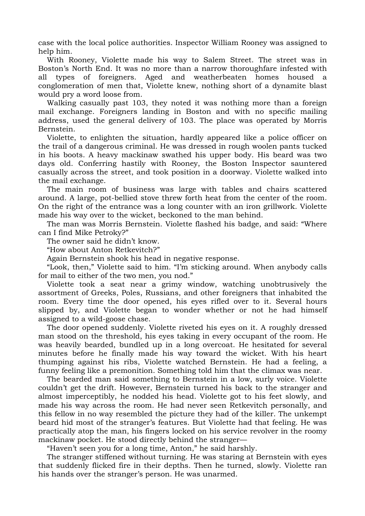case with the local police authorities. Inspector William Rooney was assigned to help him.

 With Rooney, Violette made his way to Salem Street. The street was in Boston's North End. It was no more than a narrow thoroughfare infested with all types of foreigners. Aged and weatherbeaten homes housed a conglomeration of men that, Violette knew, nothing short of a dynamite blast would pry a word loose from.

 Walking casually past 103, they noted it was nothing more than a foreign mail exchange. Foreigners landing in Boston and with no specific mailing address, used the general delivery of 103. The place was operated by Morris Bernstein.

 Violette, to enlighten the situation, hardly appeared like a police officer on the trail of a dangerous criminal. He was dressed in rough woolen pants tucked in his boots. A heavy mackinaw swathed his upper body. His beard was two days old. Conferring hastily with Rooney, the Boston Inspector sauntered casually across the street, and took position in a doorway. Violette walked into the mail exchange.

 The main room of business was large with tables and chairs scattered around. A large, pot-bellied stove threw forth heat from the center of the room. On the right of the entrance was a long counter with an iron grillwork. Violette made his way over to the wicket, beckoned to the man behind.

 The man was Morris Bernstein. Violette flashed his badge, and said: "Where can I find Mike Petroky?"

The owner said he didn't know.

"How about Anton Retkevitch?"

Again Bernstein shook his head in negative response.

 "Look, then," Violette said to him. "I'm sticking around. When anybody calls for mail to either of the two men, you nod."

 Violette took a seat near a grimy window, watching unobtrusively the assortment of Greeks, Poles, Russians, and other foreigners that inhabited the room. Every time the door opened, his eyes rifled over to it. Several hours slipped by, and Violette began to wonder whether or not he had himself assigned to a wild-goose chase.

 The door opened suddenly. Violette riveted his eyes on it. A roughly dressed man stood on the threshold, his eyes taking in every occupant of the room. He was heavily bearded, bundled up in a long overcoat. He hesitated for several minutes before he finally made his way toward the wicket. With his heart thumping against his ribs, Violette watched Bernstein. He had a feeling, a funny feeling like a premonition. Something told him that the climax was near.

 The bearded man said something to Bernstein in a low, surly voice. Violette couldn't get the drift. However, Bernstein turned his back to the stranger and almost imperceptibly, he nodded his head. Violette got to his feet slowly, and made his way across the room. He had never seen Retkevitch personally, and this fellow in no way resembled the picture they had of the killer. The unkempt beard hid most of the stranger's features. But Violette had that feeling. He was practically atop the man, his fingers locked on his service revolver in the roomy mackinaw pocket. He stood directly behind the stranger—

"Haven't seen you for a long time, Anton," he said harshly.

 The stranger stiffened without turning. He was staring at Bernstein with eyes that suddenly flicked fire in their depths. Then he turned, slowly. Violette ran his hands over the stranger's person. He was unarmed.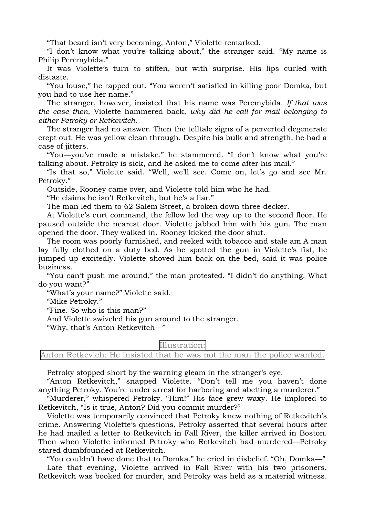"That beard isn't very becoming, Anton," Violette remarked.

 "I don't know what you're talking about," the stranger said. "My name is Philip Peremybida."

 It was Violette's turn to stiffen, but with surprise. His lips curled with distaste.

 "You louse," he rapped out. "You weren't satisfied in killing poor Domka, but you had to use her name."

 The stranger, however, insisted that his name was Peremybida. *If that was the case then*, Violette hammered back, *why did he call for mail belonging to either Petroky or Retkevitch.*

 The stranger had no answer. Then the telltale signs of a perverted degenerate crept out. He was yellow clean through. Despite his bulk and strength, he had a case of jitters.

 "You—you've made a mistake," he stammered. "I don't know what you're talking about. Petroky is sick, and he asked me to come after his mail."

 "Is that so," Violette said. "Well, we'll see. Come on, let's go and see Mr. Petroky."

Outside, Rooney came over, and Violette told him who he had.

"He claims he isn't Retkevitch, but he's a liar."

The man led them to 62 Salem Street, a broken down three-decker.

 At Violette's curt command, the fellow led the way up to the second floor. He paused outside the nearest door. Violette jabbed him with his gun. The man opened the door. They walked in. Rooney kicked the door shut.

 The room was poorly furnished, and reeked with tobacco and stale am A man lay fully clothed on a duty bed. As he spotted the gun in Violette's fist, he jumped up excitedly. Violette shoved him back on the bed, said it was police business.

 "You can't push me around," the man protested. "I didn't do anything. What do you want?"

"What's your name?" Violette said.

"Mike Petroky."

"Fine. So who is this man?"

And Violette swiveled his gun around to the stranger.

"Why, that's Anton Retkevitch—"

Illustration:

Anton Retkevich: He insisted that he was not the man the police wanted.

Petroky stopped short by the warning gleam in the stranger's eye.

 "Anton Retkevitch," snapped Violette. "Don't tell me you haven't done anything Petroky. You're under arrest for harboring and abetting a murderer."

 "Murderer," whispered Petroky. "Him!" His face grew waxy. He implored to Retkevitch, "Is it true, Anton? Did you commit murder?"

 Violette was temporarily convinced that Petroky knew nothing of Retkevitch's crime. Answering Violette's questions, Petroky asserted that several hours after he had mailed a letter to Retkevitch in Fall River, the killer arrived in Boston. Then when Violette informed Petroky who Retkevitch had murdered—Petroky stared dumbfounded at Retkevitch.

 "You couldn't have done that to Domka," he cried in disbelief. "Oh, Domka—" Late that evening, Violette arrived in Fall River with his two prisoners. Retkevitch was booked for murder, and Petroky was held as a material witness.